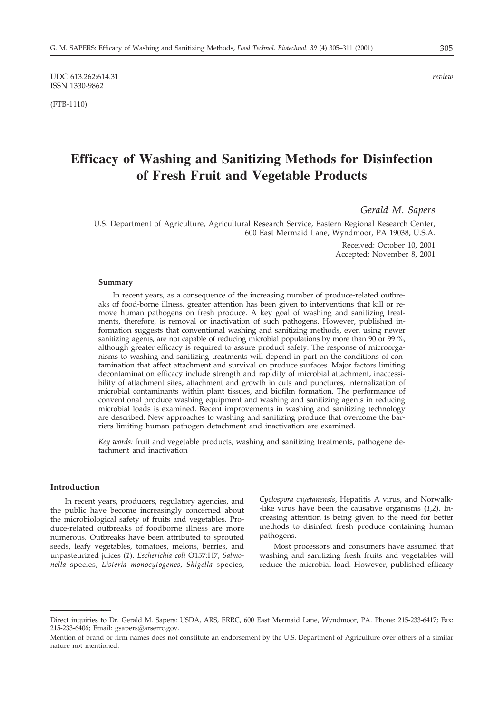UDC 613.262:614.31 *review* ISSN 1330-9862

(FTB-1110)

# **Efficacy of Washing and Sanitizing Methods for Disinfection of Fresh Fruit and Vegetable Products**

*Gerald M. Sapers*

U.S. Department of Agriculture, Agricultural Research Service, Eastern Regional Research Center, 600 East Mermaid Lane, Wyndmoor, PA 19038, U.S.A.

> Received: October 10, 2001 Accepted: November 8, 2001

#### **Summary**

In recent years, as a consequence of the increasing number of produce-related outbreaks of food-borne illness, greater attention has been given to interventions that kill or remove human pathogens on fresh produce. A key goal of washing and sanitizing treatments, therefore, is removal or inactivation of such pathogens. However, published information suggests that conventional washing and sanitizing methods, even using newer sanitizing agents, are not capable of reducing microbial populations by more than 90 or 99 %, although greater efficacy is required to assure product safety. The response of microorganisms to washing and sanitizing treatments will depend in part on the conditions of contamination that affect attachment and survival on produce surfaces. Major factors limiting decontamination efficacy include strength and rapidity of microbial attachment, inaccessibility of attachment sites, attachment and growth in cuts and punctures, internalization of microbial contaminants within plant tissues, and biofilm formation. The performance of conventional produce washing equipment and washing and sanitizing agents in reducing microbial loads is examined. Recent improvements in washing and sanitizing technology are described. New approaches to washing and sanitizing produce that overcome the barriers limiting human pathogen detachment and inactivation are examined.

*Key words:* fruit and vegetable products, washing and sanitizing treatments, pathogene detachment and inactivation

# **Introduction**

In recent years, producers, regulatory agencies, and the public have become increasingly concerned about the microbiological safety of fruits and vegetables. Produce-related outbreaks of foodborne illness are more numerous. Outbreaks have been attributed to sprouted seeds, leafy vegetables, tomatoes, melons, berries, and unpasteurized juices (*1*). *Escherichia coli* O157:H7, *Salmonella* species, *Listeria monocytogenes*, *Shigella* species, *Cyclospora cayetanensis*, Hepatitis A virus, and Norwalk- -like virus have been the causative organisms (*1,2*). Increasing attention is being given to the need for better methods to disinfect fresh produce containing human pathogens.

Most processors and consumers have assumed that washing and sanitizing fresh fruits and vegetables will reduce the microbial load. However, published efficacy

Direct inquiries to Dr. Gerald M. Sapers: USDA, ARS, ERRC, 600 East Mermaid Lane, Wyndmoor, PA. Phone: 215-233-6417; Fax: 215-233-6406; Email: gsapers@arserrc.gov.

Mention of brand or firm names does not constitute an endorsement by the U.S. Department of Agriculture over others of a similar nature not mentioned.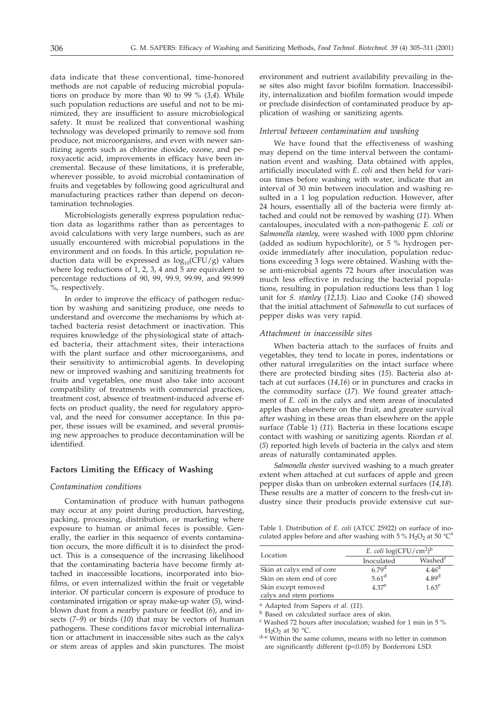data indicate that these conventional, time-honored methods are not capable of reducing microbial populations on produce by more than 90 to 99 % (*3,4*). While such population reductions are useful and not to be minimized, they are insufficient to assure microbiological safety. It must be realized that conventional washing technology was developed primarily to remove soil from produce, not microorganisms, and even with newer sanitizing agents such as chlorine dioxide, ozone, and peroxyacetic acid, improvements in efficacy have been incremental. Because of these limitations, it is preferable, wherever possible, to avoid microbial contamination of fruits and vegetables by following good agricultural and manufacturing practices rather than depend on decontamination technologies.

Microbiologists generally express population reduction data as logarithms rather than as percentages to avoid calculations with very large numbers, such as are usually encountered with microbial populations in the environment and on foods. In this article, population reduction data will be expressed as  $log_{10}(CFU/g)$  values where log reductions of 1, 2, 3, 4 and 5 are equivalent to percentage reductions of 90, 99, 99.9, 99.99, and 99.999 %, respectively.

In order to improve the efficacy of pathogen reduction by washing and sanitizing produce, one needs to understand and overcome the mechanisms by which attached bacteria resist detachment or inactivation. This requires knowledge of the physiological state of attached bacteria, their attachment sites, their interactions with the plant surface and other microorganisms, and their sensitivity to antimicrobial agents. In developing new or improved washing and sanitizing treatments for fruits and vegetables, one must also take into account compatibility of treatments with commercial practices, treatment cost, absence of treatment-induced adverse effects on product quality, the need for regulatory approval, and the need for consumer acceptance. In this paper, these issues will be examined, and several promising new approaches to produce decontamination will be identified.

# **Factors Limiting the Efficacy of Washing**

#### *Contamination conditions*

Contamination of produce with human pathogens may occur at any point during production, harvesting, packing, processing, distribution, or marketing where exposure to human or animal feces is possible. Generally, the earlier in this sequence of events contamination occurs, the more difficult it is to disinfect the product. This is a consequence of the increasing likelihood that the contaminating bacteria have become firmly attached in inaccessible locations, incorporated into biofilms, or even internalized within the fruit or vegetable interior. Of particular concern is exposure of produce to contaminated irrigation or spray make-up water (*5*), windblown dust from a nearby pasture or feedlot (*6*), and insects (*7–9*) or birds (*10*) that may be vectors of human pathogens. These conditions favor microbial internalization or attachment in inaccessible sites such as the calyx or stem areas of apples and skin punctures. The moist

environment and nutrient availability prevailing in these sites also might favor biofilm formation. Inaccessibility, internalization and biofilm formation would impede or preclude disinfection of contaminated produce by application of washing or sanitizing agents.

#### *Interval between contamination and washing*

We have found that the effectiveness of washing may depend on the time interval between the contamination event and washing. Data obtained with apples, artificially inoculated with *E. coli* and then held for various times before washing with water, indicate that an interval of 30 min between inoculation and washing resulted in a 1 log population reduction. However, after 24 hours, essentially all of the bacteria were firmly attached and could not be removed by washing (*11*). When cantaloupes, inoculated with a non-pathogenic *E. coli* or *Salmonella stanley,* were washed with 1000 ppm chlorine (added as sodium hypochlorite), or 5 % hydrogen peroxide immediately after inoculation, population reductions exceeding 3 logs were obtained. Washing with these anti-microbial agents 72 hours after inoculation was much less effective in reducing the bacterial populations, resulting in population reductions less than 1 log unit for *S. stanley* (*12,13*). Liao and Cooke (*14*) showed that the initial attachment of *Salmonella* to cut surfaces of pepper disks was very rapid.

#### *Attachment in inaccessible sites*

When bacteria attach to the surfaces of fruits and vegetables, they tend to locate in pores, indentations or other natural irregularities on the intact surface where there are protected binding sites (*15*). Bacteria also attach at cut surfaces (*14,16*) or in punctures and cracks in the commodity surface (*17*). We found greater attachment of *E. coli* in the calyx and stem areas of inoculated apples than elsewhere on the fruit, and greater survival after washing in these areas than elsewhere on the apple surface (Table 1) (*11*). Bacteria in these locations escape contact with washing or sanitizing agents. Riordan *et al.* (*5*) reported high levels of bacteria in the calyx and stem areas of naturally contaminated apples.

*Salmonella chester* survived washing to a much greater extent when attached at cut surfaces of apple and green pepper disks than on unbroken external surfaces (*14,18*). These results are a matter of concern to the fresh-cut industry since their products provide extensive cut sur-

Table 1. Distribution of *E. coli* (ATCC 25922) on surface of inoculated apples before and after washing with 5 %  $\rm H_2O_2$  at 50  $^{\circ} \rm C^a$ 

| Location                  | E. coli $log(CFU/cm^2)^b$ |                     |  |
|---------------------------|---------------------------|---------------------|--|
|                           | Inoculated                | Washed <sup>c</sup> |  |
| Skin at calyx end of core | 6.79 <sup>d</sup>         | 4.46 <sup>d</sup>   |  |
| Skin on stem end of core  | $5.61$ <sup>d</sup>       | 4.89 <sup>d</sup>   |  |
| Skin except removed       | $4.37^e$                  | $1.63^e$            |  |
| calyx and stem portions   |                           |                     |  |

<sup>a</sup> Adapted from Sapers *et al.* (*11*).

<sup>b</sup> Based on calculated surface area of skin.

<sup>c</sup> Washed 72 hours after inoculation; washed for 1 min in 5 %

 $H_2O_2$  at 50 °C.<br>d–e Within the same column, means with no letter in common are significantly different (p<0.05) by Bonferroni LSD.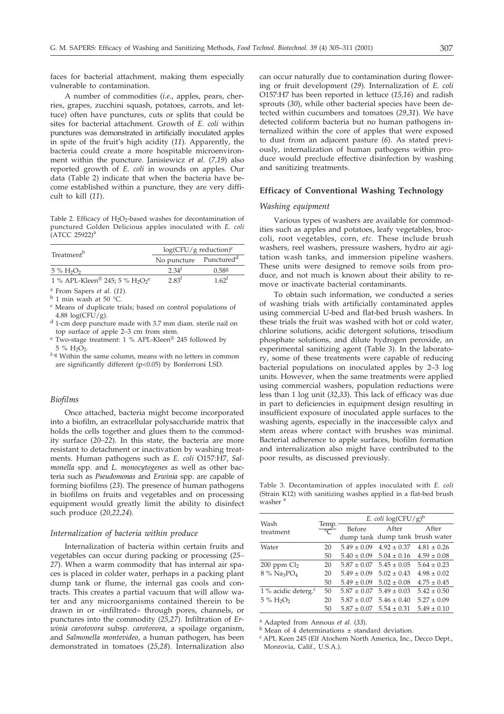faces for bacterial attachment, making them especially vulnerable to contamination.

A number of commodities (*i.e*., apples, pears, cherries, grapes, zucchini squash, potatoes, carrots, and lettuce) often have punctures, cuts or splits that could be sites for bacterial attachment. Growth of *E. coli* within punctures was demonstrated in artificially inoculated apples in spite of the fruit's high acidity (*11*). Apparently, the bacteria could create a more hospitable microenvironment within the puncture. Janisiewicz *et al*. (*7,19*) also reported growth of *E. coli* in wounds on apples. Our data (Table 2) indicate that when the bacteria have become established within a puncture, they are very difficult to kill (*11*).

Table 2. Efficacy of  $H_2O_2$ -based washes for decontamination of punctured Golden Delicious apples inoculated with *E. coli*  $(ATCC 25922)^a$ 

| Treatment <sup>b</sup>                                    | $log(CFU/g$ reduction) <sup>c</sup> |                   |  |
|-----------------------------------------------------------|-------------------------------------|-------------------|--|
|                                                           | No puncture Punctured <sup>d</sup>  |                   |  |
| $5\%$ H <sub>2</sub> O <sub>2</sub>                       | 2.34 <sup>†</sup>                   | 0.588             |  |
| 1 % APL-Kleen <sup>®</sup> 245; 5 % $H_2O_2$ <sup>e</sup> | 2.83 <sup>f</sup>                   | 1.62 <sup>f</sup> |  |

<sup>a</sup> From Sapers *et al*. (*11*).

<sup>b</sup> 1 min wash at 50 °C.

- <sup>c</sup> Means of duplicate trials; based on control populations of 4.88  $log(CFU/g)$ .
- <sup>d</sup> 1-cm deep puncture made with 3.7 mm diam. sterile nail on top surface of apple 2–3 cm from stem.
- <sup>e</sup> Two-stage treatment: 1 % APL-Kleen<sup>®</sup> 245 followed by 5 % H<sub>2</sub>O<sub>2</sub>.
- $f-g$  Within the same column, means with no letters in common are significantly different (p<0.05) by Bonferroni LSD.

# *Biofilms*

Once attached, bacteria might become incorporated into a biofilm, an extracellular polysaccharide matrix that holds the cells together and glues them to the commodity surface (*20–22*). In this state, the bacteria are more resistant to detachment or inactivation by washing treatments. Human pathogens such as *E. coli* O157:H7, *Salmonella* spp. and *L. monocytogenes* as well as other bacteria such as *Pseudomonas* and *Erwinia* spp. are capable of forming biofilms (*23*). The presence of human pathogens in biofilms on fruits and vegetables and on processing equipment would greatly limit the ability to disinfect such produce (*20,22,24*).

### *Internalization of bacteria within produce*

Internalization of bacteria within certain fruits and vegetables can occur during packing or processing (*25– 27*). When a warm commodity that has internal air spaces is placed in colder water, perhaps in a packing plant dump tank or flume, the internal gas cools and contracts. This creates a partial vacuum that will allow water and any microorganisms contained therein to be drawn in or »infiltrated« through pores, channels, or punctures into the commodity (*25,27*). Infiltration of *Erwinia carotovora* subsp*. carotovora*, a spoilage organism, and *Salmonella montevideo*, a human pathogen, has been demonstrated in tomatoes (*25,28*). Internalization also

can occur naturally due to contamination during flowering or fruit development (*29*). Internalization of *E. coli* O157:H7 has been reported in lettuce (*15,16*) and radish sprouts (*30*), while other bacterial species have been detected within cucumbers and tomatoes (*29,31*). We have detected coliform bacteria but no human pathogens internalized within the core of apples that were exposed to dust from an adjacent pasture (*6*). As stated previously, internalization of human pathogens within produce would preclude effective disinfection by washing and sanitizing treatments.

# **Efficacy of Conventional Washing Technology**

#### *Washing equipment*

Various types of washers are available for commodities such as apples and potatoes, leafy vegetables, broccoli, root vegetables, corn, *etc.* These include brush washers, reel washers, pressure washers, hydro air agitation wash tanks, and immersion pipeline washers. These units were designed to remove soils from produce, and not much is known about their ability to remove or inactivate bacterial contaminants.

To obtain such information, we conducted a series of washing trials with artificially contaminated apples using commercial U-bed and flat-bed brush washers. In these trials the fruit was washed with hot or cold water, chlorine solutions, acidic detergent solutions, trisodium phosphate solutions, and dilute hydrogen peroxide, an experimental sanitizing agent (Table 3). In the laboratory, some of these treatments were capable of reducing bacterial populations on inoculated apples by 2–3 log units. However, when the same treatments were applied using commercial washers, population reductions were less than 1 log unit (*32,33*). This lack of efficacy was due in part to deficiencies in equipment design resulting in insufficient exposure of inoculated apple surfaces to the washing agents, especially in the inaccessible calyx and stem areas where contact with brushes was minimal. Bacterial adherence to apple surfaces, biofilm formation and internalization also might have contributed to the poor results, as discussed previously.

Table 3. Decontamination of apples inoculated with *E. coli* (Strain K12) with sanitizing washes applied in a flat-bed brush washer<sup>3</sup>

|                                       |                         | E. coli $log(CFU/g)^b$ |                                 |                                 |  |
|---------------------------------------|-------------------------|------------------------|---------------------------------|---------------------------------|--|
| Wash<br>treatment                     | Temp.<br>$\overline{C}$ | Before                 | After                           | After                           |  |
|                                       |                         |                        |                                 | dump tank dump tank brush water |  |
| Water                                 | 20                      | $5.49 \pm 0.09$        | $4.92 \pm 0.37$                 | $4.81 \pm 0.26$                 |  |
|                                       | 50                      | $5.40 \pm 0.09$        | $5.04 \pm 0.16$                 | $4.59 \pm 0.08$                 |  |
| $200$ ppm $Cl2$                       | 20                      |                        | $5.87 \pm 0.07$ $5.45 \pm 0.05$ | $5.64 \pm 0.23$                 |  |
| $8\%$ Na <sub>3</sub> PO <sub>4</sub> | 20                      | $5.49 \pm 0.09$        | $5.02 \pm 0.43$                 | $4.98 \pm 0.02$                 |  |
|                                       | 50                      | $5.49 \pm 0.09$        | $5.02 \pm 0.08$                 | $4.75 \pm 0.45$                 |  |
| 1 % acidic deterg. $\rm ^c$           | 50                      | $5.87 \pm 0.07$        | $5.49 \pm 0.03$                 | $5.42 \pm 0.50$                 |  |
| $5\%$ H <sub>2</sub> O <sub>2</sub>   | 20                      | $5.87 \pm 0.07$        | $5.46 \pm 0.40$                 | $5.27 \pm 0.09$                 |  |
|                                       | 50                      | $5.87 \pm 0.07$        | $5.54 \pm 0.31$                 | $5.49 \pm 0.10$                 |  |

<sup>a</sup> Adapted from Annous *et al.* (*33*).

 $<sup>b</sup>$  Mean of 4 determinations  $\pm$  standard deviation.</sup>

<sup>c</sup> APL Keen 245 (Elf Atochem North America, Inc., Decco Dept., Monrovia, Calif., U.S.A.).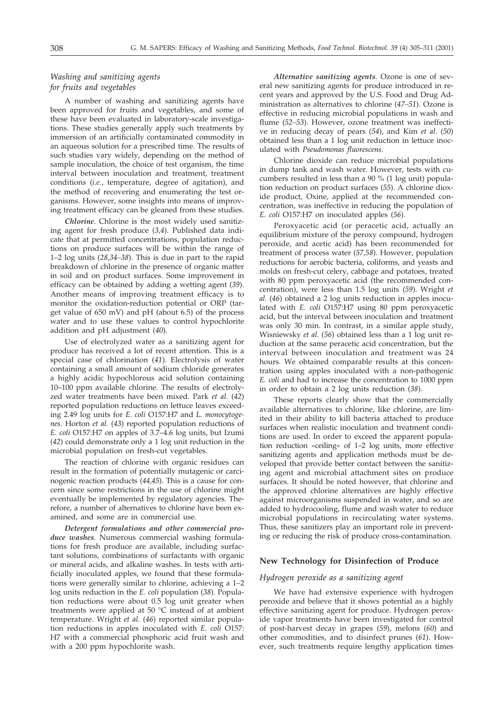# *Washing and sanitizing agents for fruits and vegetables*

A number of washing and sanitizing agents have been approved for fruits and vegetables, and some of these have been evaluated in laboratory-scale investigations. These studies generally apply such treatments by immersion of an artificially contaminated commodity in an aqueous solution for a prescribed time. The results of such studies vary widely, depending on the method of sample inoculation, the choice of test organism, the time interval between inoculation and treatment, treatment conditions (*i.e*., temperature, degree of agitation), and the method of recovering and enumerating the test organisms. However, some insights into means of improving treatment efficacy can be gleaned from these studies.

*Chlorine*. Chlorine is the most widely used sanitizing agent for fresh produce (*3,4*). Published data indicate that at permitted concentrations, population reductions on produce surfaces will be within the range of 1–2 log units (*28,34–38*). This is due in part to the rapid breakdown of chlorine in the presence of organic matter in soil and on product surfaces. Some improvement in efficacy can be obtained by adding a wetting agent (*39*). Another means of improving treatment efficacy is to monitor the oxidation-reduction potential or ORP (target value of 650 mV) and pH (about 6.5) of the process water and to use these values to control hypochlorite addition and pH adjustment (*40*).

Use of electrolyzed water as a sanitizing agent for produce has received a lot of recent attention. This is a special case of chlorination (*41*). Electrolysis of water containing a small amount of sodium chloride generates a highly acidic hypochlorous acid solution containing 10–100 ppm available chlorine. The results of electrolyzed water treatments have been mixed. Park *et al*. (*42*) reported population reductions on lettuce leaves exceeding 2.49 log units for *E. coli* O157:H7 and *L. monocytogenes*. Horton *et al.* (*43*) reported population reductions of *E. coli* O157:H7 on apples of 3.7–4.6 log units, but Izumi (*42*) could demonstrate only a 1 log unit reduction in the microbial population on fresh-cut vegetables.

The reaction of chlorine with organic residues can result in the formation of potentially mutagenic or carcinogenic reaction products (*44,45*). This is a cause for concern since some restrictions in the use of chlorine might eventually be implemented by regulatory agencies. Therefore, a number of alternatives to chlorine have been examined, and some are in commercial use.

*Detergent formulations and other commercial produce washes.* Numerous commercial washing formulations for fresh produce are available, including surfactant solutions, combinations of surfactants with organic or mineral acids, and alkaline washes. In tests with artificially inoculated apples, we found that these formulations were generally similar to chlorine, achieving a 1–2 log units reduction in the *E. coli* population (*38*). Population reductions were about 0.5 log unit greater when treatments were applied at 50 °C instead of at ambient temperature. Wright *et al*. (*46*) reported similar population reductions in apples inoculated with *E. coli* O157: H7 with a commercial phosphoric acid fruit wash and with a 200 ppm hypochlorite wash.

*Alternative sanitizing agents*. Ozone is one of several new sanitizing agents for produce introduced in recent years and approved by the U.S. Food and Drug Administration as alternatives to chlorine (*47–51*). Ozone is effective in reducing microbial populations in wash and flume (*52–53*). However, ozone treatment was ineffective in reducing decay of pears (*54*), and Kim *et al*. (*50*) obtained less than a 1 log unit reduction in lettuce inoculated with *Pseudomonas fluorescens*.

Chlorine dioxide can reduce microbial populations in dump tank and wash water. However, tests with cucumbers resulted in less than a 90 % (1 log unit) population reduction on product surfaces (*55*). A chlorine dioxide product, Oxine, applied at the recommended concentration, was ineffective in reducing the population of *E. coli* O157:H7 on inoculated apples (*56*).

Peroxyacetic acid (or peracetic acid, actually an equilibrium mixture of the peroxy compound, hydrogen peroxide, and acetic acid) has been recommended for treatment of process water (*57,58*). However, population reductions for aerobic bacteria, coliforms, and yeasts and molds on fresh-cut celery, cabbage and potatoes, treated with 80 ppm peroxyacetic acid (the recommended concentration), were less than 1.5 log units (*59*). Wright *et al.* (*46*) obtained a 2 log units reduction in apples inoculated with *E. coli* O157:H7 using 80 ppm peroxyacetic acid, but the interval between inoculation and treatment was only 30 min. In contrast, in a similar apple study, Wisniewsky *et al.* (*56*) obtained less than a 1 log unit reduction at the same peracetic acid concentration, but the interval between inoculation and treatment was 24 hours. We obtained comparable results at this concentration using apples inoculated with a non-pathogenic *E. coli* and had to increase the concentration to 1000 ppm in order to obtain a 2 log units reduction (*38*).

These reports clearly show that the commercially available alternatives to chlorine, like chlorine, are limited in their ability to kill bacteria attached to produce surfaces when realistic inoculation and treatment conditions are used. In order to exceed the apparent population reduction »ceiling« of 1–2 log units, more effective sanitizing agents and application methods must be developed that provide better contact between the sanitizing agent and microbial attachment sites on produce surfaces. It should be noted however, that chlorine and the approved chlorine alternatives are highly effective against microorganisms suspended in water, and so are added to hydrocooling, flume and wash water to reduce microbial populations in recirculating water systems. Thus, these sanitizers play an important role in preventing or reducing the risk of produce cross-contamination.

# **New Technology for Disinfection of Produce**

#### *Hydrogen peroxide as a sanitizing agent*

We have had extensive experience with hydrogen peroxide and believe that it shows potential as a highly effective sanitizing agent for produce. Hydrogen peroxide vapor treatments have been investigated for control of post-harvest decay in grapes (*59*), melons (*60*) and other commodities, and to disinfect prunes (*61*). However, such treatments require lengthy application times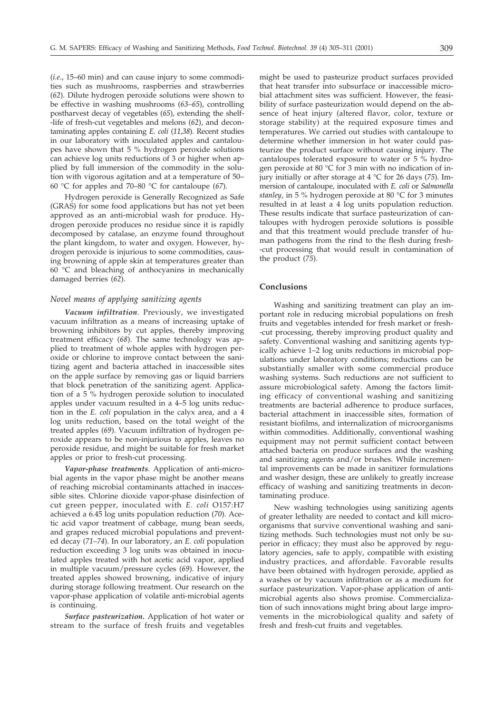(*i.e*., 15–60 min) and can cause injury to some commodities such as mushrooms, raspberries and strawberries (*62*). Dilute hydrogen peroxide solutions were shown to be effective in washing mushrooms (*63–65*), controlling postharvest decay of vegetables (*65*), extending the shelf- -life of fresh-cut vegetables and melons (*62*), and decontaminating apples containing *E. coli* (*11,38*). Recent studies in our laboratory with inoculated apples and cantaloupes have shown that 5 % hydrogen peroxide solutions can achieve log units reductions of 3 or higher when applied by full immersion of the commodity in the solution with vigorous agitation and at a temperature of 50– 60 °C for apples and 70–80 °C for cantaloupe (*67*).

Hydrogen peroxide is Generally Recognized as Safe (GRAS) for some food applications but has not yet been approved as an anti-microbial wash for produce. Hydrogen peroxide produces no residue since it is rapidly decomposed by catalase, an enzyme found throughout the plant kingdom, to water and oxygen. However, hydrogen peroxide is injurious to some commodities, causing browning of apple skin at temperatures greater than 60 °C and bleaching of anthocyanins in mechanically damaged berries (*62*).

#### *Novel means of applying sanitizing agents*

*Vacuum infiltration*. Previously, we investigated vacuum infiltration as a means of increasing uptake of browning inhibitors by cut apples, thereby improving treatment efficacy (*68*). The same technology was applied to treatment of whole apples with hydrogen peroxide or chlorine to improve contact between the sanitizing agent and bacteria attached in inaccessible sites on the apple surface by removing gas or liquid barriers that block penetration of the sanitizing agent. Application of a 5 % hydrogen peroxide solution to inoculated apples under vacuum resulted in a 4–5 log units reduction in the *E. coli* population in the calyx area, and a 4 log units reduction, based on the total weight of the treated apples (*69*). Vacuum infiltration of hydrogen peroxide appears to be non-injurious to apples, leaves no peroxide residue, and might be suitable for fresh market apples or prior to fresh-cut processing.

*Vapor-phase treatments*. Application of anti-microbial agents in the vapor phase might be another means of reaching microbial contaminants attached in inaccessible sites. Chlorine dioxide vapor-phase disinfection of cut green pepper, inoculated with *E. coli* O157:H7 achieved a 6.45 log units population reduction (*70*). Acetic acid vapor treatment of cabbage, mung bean seeds, and grapes reduced microbial populations and prevented decay (*71–74*). In our laboratory, an *E. coli* population reduction exceeding 3 log units was obtained in inoculated apples treated with hot acetic acid vapor, applied in multiple vacuum/pressure cycles (*69*). However, the treated apples showed browning, indicative of injury during storage following treatment. Our research on the vapor-phase application of volatile anti-microbial agents is continuing.

*Surface pasteurization.* Application of hot water or stream to the surface of fresh fruits and vegetables might be used to pasteurize product surfaces provided that heat transfer into subsurface or inaccessible microbial attachment sites was sufficient. However, the feasibility of surface pasteurization would depend on the absence of heat injury (altered flavor, color, texture or storage stability) at the required exposure times and temperatures. We carried out studies with cantaloupe to determine whether immersion in hot water could pasteurize the product surface without causing injury. The cantaloupes tolerated exposure to water or 5 % hydrogen peroxide at 80 °C for 3 min with no indication of injury initially or after storage at 4 °C for 26 days (*75*). Immersion of cantaloupe, inoculated with *E. coli* or *Salmonella stanley*, in 5 % hydrogen peroxide at 80 °C for 3 minutes resulted in at least a 4 log units population reduction. These results indicate that surface pasteurization of cantaloupes with hydrogen peroxide solutions is possible and that this treatment would preclude transfer of human pathogens from the rind to the flesh during fresh- -cut processing that would result in contamination of the product (*75*).

#### **Conclusions**

Washing and sanitizing treatment can play an important role in reducing microbial populations on fresh fruits and vegetables intended for fresh market or fresh- -cut processing, thereby improving product quality and safety. Conventional washing and sanitizing agents typically achieve 1–2 log units reductions in microbial populations under laboratory conditions; reductions can be substantially smaller with some commercial produce washing systems. Such reductions are not sufficient to assure microbiological safety. Among the factors limiting efficacy of conventional washing and sanitizing treatments are bacterial adherence to produce surfaces, bacterial attachment in inaccessible sites, formation of resistant biofilms, and internalization of microorganisms within commodities. Additionally, conventional washing equipment may not permit sufficient contact between attached bacteria on produce surfaces and the washing and sanitizing agents and/or brushes. While incremental improvements can be made in sanitizer formulations and washer design, these are unlikely to greatly increase efficacy of washing and sanitizing treatments in decontaminating produce.

New washing technologies using sanitizing agents of greater lethality are needed to contact and kill microorganisms that survive conventional washing and sanitizing methods. Such technologies must not only be superior in efficacy; they must also be approved by regulatory agencies, safe to apply, compatible with existing industry practices, and affordable. Favorable results have been obtained with hydrogen peroxide, applied as a washes or by vacuum infiltration or as a medium for surface pasteurization. Vapor-phase application of antimicrobial agents also shows promise. Commercialization of such innovations might bring about large improvements in the microbiological quality and safety of fresh and fresh-cut fruits and vegetables.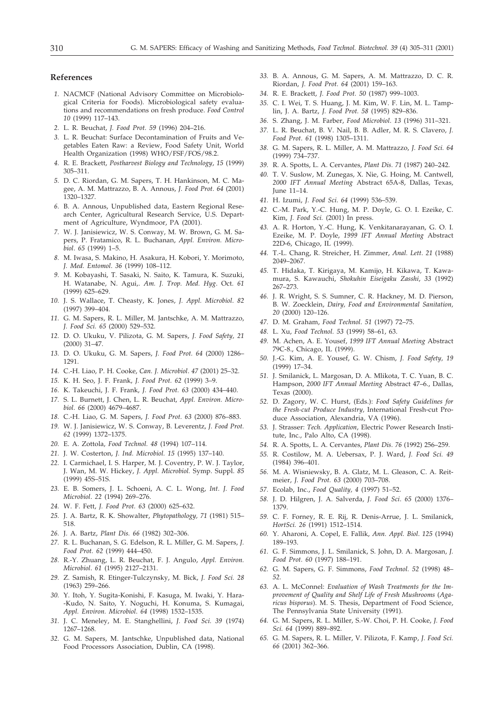#### **References**

- *1.* NACMCF (National Advisory Committee on Microbiological Criteria for Foods). Microbiological safety evaluations and recommendations on fresh produce. *Food Control 10* (1999) 117–143.
- *2.* L. R. Beuchat, *J. Food Prot. 59* (1996) 204–216.
- *3.* L. R. Beuchat: Surface Decontamination of Fruits and Vegetables Eaten Raw: a Review, Food Safety Unit, World Health Organization (1998) WHO/FSF/FOS/98.2.
- *4.* R. E. Brackett, *Postharvest Biology and Technology*, *15* (1999) 305–311.
- *5.* D. C. Riordan, G. M. Sapers, T. H. Hankinson, M. C. Magee, A. M. Mattrazzo, B. A. Annous, *J. Food Prot. 64* (2001) 1320–1327.
- *6.* B. A. Annous, Unpublished data, Eastern Regional Research Center, Agricultural Research Service, U.S. Department of Agriculture, Wyndmoor, PA (2001).
- *7.* W. J. Janisiewicz, W. S. Conway, M. W. Brown, G. M. Sapers, P. Fratamico, R. L. Buchanan, *Appl. Environ. Microbiol*. *65* (1999) 1–5.
- *8.* M. Iwasa, S. Makino, H. Asakura, H. Kobori, Y. Morimoto, *J. Med. Entomol*. *36* (1999) 108–112.
- *9.* M. Kobayashi, T. Sasaki, N. Saito, K. Tamura, K. Suzuki, H. Watanabe, N. Agui,. *Am. J. Trop. Med. Hyg*. Oct. *61* (1999) 625–629.
- *10.* J. S. Wallace, T. Cheasty, K. Jones, *J. Appl. Microbiol*. *82* (1997) 399–404.
- *11.* G. M. Sapers, R. L. Miller, M. Jantschke, A. M. Mattrazzo, *J. Food Sci. 65* (2000) 529–532.
- *12.* D. O. Ukuku, V. Pilizota, G. M. Sapers, *J. Food Safety, 21* (2000) 31–47.
- *13.* D. O. Ukuku, G. M. Sapers, *J. Food Prot. 64* (2000) 1286– 1291.
- *14.* C.-H. Liao, P. H. Cooke, *Can. J. Microbiol*. *47* (2001) 25–32.
- *15.* K. H. Seo, J. F. Frank, *J. Food Prot. 62* (1999) 3–9.
- *16.* K. Takeuchi, J. F. Frank, *J. Food Prot. 63* (2000) 434–440.
- *17.* S. L. Burnett, J. Chen, L. R. Beuchat, *Appl. Environ. Microbiol. 66* (2000) 4679–4687.
- *18.* C.-H. Liao, G. M. Sapers, *J. Food Prot. 63* (2000) 876–883.
- *19.* W. J. Janisiewicz, W. S. Conway, B. Leverentz, *J. Food Prot. 62* (1999) 1372–1375.
- *20.* E. A. Zottola, *Food Technol. 48* (1994) 107–114.
- *21.* J. W. Costerton, *J. Ind. Microbiol. 15* (1995) 137–140.
- *22.* I. Carmichael, I. S. Harper, M. J. Coventry, P. W. J. Taylor, J. Wan, M. W. Hickey, *J. Appl. Microbiol.* Symp. Suppl. *85* (1999) 45S–51S.
- *23.* E. B. Somers, J. L. Schoeni, A. C. L. Wong, *Int. J. Food Microbiol*. *22* (1994) 269–276.
- *24.* W. F. Fett, *J. Food Prot. 63* (2000) 625–632.
- *25.* J. A. Bartz, R. K. Showalter, *Phytopathology, 71* (1981) 515– 518.
- *26.* J. A. Bartz, *Plant Dis. 66* (1982) 302–306.
- *27.* R. L. Buchanan, S. G. Edelson, R. L. Miller, G. M. Sapers, *J. Food Prot. 62* (1999) 444–450.
- *28.* R.-Y. Zhuang, L. R. Beuchat, F. J. Angulo, *Appl. Environ. Microbiol*. *61* (1995) 2127–2131.
- *29.* Z. Samish, R. Etinger-Tulczynsky, M. Bick, *J. Food Sci. 28* (1963) 259–266.
- *30.* Y. Itoh, Y. Sugita-Konishi, F. Kasuga, M. Iwaki, Y. Hara- -Kudo, N. Saito, Y. Noguchi, H. Konuma, S. Kumagai, *Appl. Environ. Microbiol*. *64* (1998) 1532–1535.
- *31.* J. C. Meneley, M. E. Stanghellini, *J. Food Sci. 39* (1974) 1267–1268.
- *32.* G. M. Sapers, M. Jantschke, Unpublished data, National Food Processors Association, Dublin, CA (1998).
- *33.* B. A. Annous, G. M. Sapers, A. M. Mattrazzo, D. C. R. Riordan, *J. Food Prot. 64* (2001) 159–163.
- *34.* R. E. Brackett, *J. Food Prot. 50* (1987) 999–1003.
- *35.* C. I. Wei, T. S. Huang, J. M. Kim, W. F. Lin, M. L. Tamplin, J. A. Bartz, *J. Food Prot. 58* (1995) 829–836.
- *36.* S. Zhang, J. M. Farber, *Food Microbiol*. *13* (1996) 311–321.
- *37.* L. R. Beuchat, B. V. Nail, B. B. Adler, M. R. S. Clavero, *J. Food Prot. 61* (1998) 1305–1311.
- *38.* G. M. Sapers, R. L. Miller, A. M. Mattrazzo, *J. Food Sci. 64* (1999) 734–737.
- *39.* R. A. Spotts, L. A. Cervantes, *Plant Dis. 71* (1987) 240–242.
- *40.* T. V. Suslow, M. Zunegas, X. Nie, G. Hoing, M. Cantwell, *2000 IFT Annual Meeting* Abstract 65A-8, Dallas, Texas, June 11–14.
- *41.* H. Izumi, *J. Food Sci*. *64* (1999) 536–539.
- *42.* C.-M. Park, Y.-C. Hung, M. P. Doyle, G. O. I. Ezeike, C. Kim, *J. Food Sci.* (2001) In press.
- *43.* A. R. Horton, Y.-C. Hung, K. Venkitanarayanan, G. O. I. Ezeike, M. P. Doyle, *1999 IFT Annual Meeting* Abstract 22D-6, Chicago, IL (1999).
- *44.* T.-L. Chang, R. Streicher, H. Zimmer, *Anal. Lett*. *21* (1988) 2049–2067.
- *45.* T. Hidaka, T. Kirigaya, M. Kamijo, H. Kikawa, T. Kawamura, S. Kawauchi, *Shokuhin Eiseigaku Zasshi*, *33* (1992) 267–273.
- *46.* J. R. Wright, S. S. Sumner, C. R. Hackney, M. D. Pierson, B. W. Zoecklein, *Dairy, Food and Environmental Sanitation, 20* (2000) 120–126.
- *47.* D. M. Graham, *Food Technol*. *51* (1997) 72–75.
- *48.* L. Xu, *Food Technol. 53* (1999) 58–61, 63.
- *49.* M. Achen, A. E. Yousef, *1999 IFT Annual Meeting* Abstract 79C-8., Chicago, IL (1999).
- *50.* J.-G. Kim, A. E. Yousef, G. W. Chism, *J. Food Safety, 19* (1999) 17–34.
- *51.* J. Smilanick, L. Margosan, D. A. Mlikota, T. C. Yuan, B. C. Hampson, *2000 IFT Annual Meeting* Abstract 47–6., Dallas, Texas (2000).
- *52.* D. Zagory, W. C. Hurst, (Eds.): *Food Safety Guidelines for the Fresh-cut Produce Industry,* International Fresh-cut Produce Association, Alexandria, VA (1996).
- *53.* J. Strasser: *Tech. Application*, Electric Power Research Institute, Inc., Palo Alto, CA (1998).
- *54.* R. A. Spotts, L. A. Cervantes, *Plant Dis. 76* (1992) 256–259.
- *55.* R. Costilow, M. A. Uebersax, P. J. Ward, *J. Food Sci. 49* (1984) 396–401.
- *56.* M. A. Wisniewsky, B. A. Glatz, M. L. Gleason, C. A. Reitmeier, *J. Food Prot. 63* (2000) 703–708.
- *57.* Ecolab, Inc., *Food Quality, 4* (1997) 51–52.
- *58.* J. D. Hilgren, J. A. Salverda, *J. Food Sci*. *65* (2000) 1376– 1379.
- *59.* C. F. Forney, R. E. Rij, R. Denis-Arrue, J. L. Smilanick, *HortSci. 26* (1991) 1512–1514.
- *60.* Y. Aharoni, A. Copel, E. Fallik, *Ann. Appl. Biol*. *125* (1994) 189–193.
- *61.* G. F. Simmons, J. L. Smilanick, S. John, D. A. Margosan, *J. Food Prot. 60* (1997) 188–191.
- *62.* G. M. Sapers, G. F. Simmons, *Food Technol. 52* (1998) 48– *52.*
- *63.* A. L. McConnel: *Evaluation of Wash Treatments for the Improvement of Quality and Shelf Life of Fresh Mushrooms* (*Agaricus bisporus*). M. S. Thesis, Department of Food Science, The Pennsylvania State University (1991).
- *64.* G. M. Sapers, R. L. Miller, S.-W. Choi, P. H. Cooke, *J. Food Sci. 64* (1999) 889–892.
- *65.* G. M. Sapers, R. L. Miller, V. Pilizota, F. Kamp, *J. Food Sci. 66* (2001) 362–366.